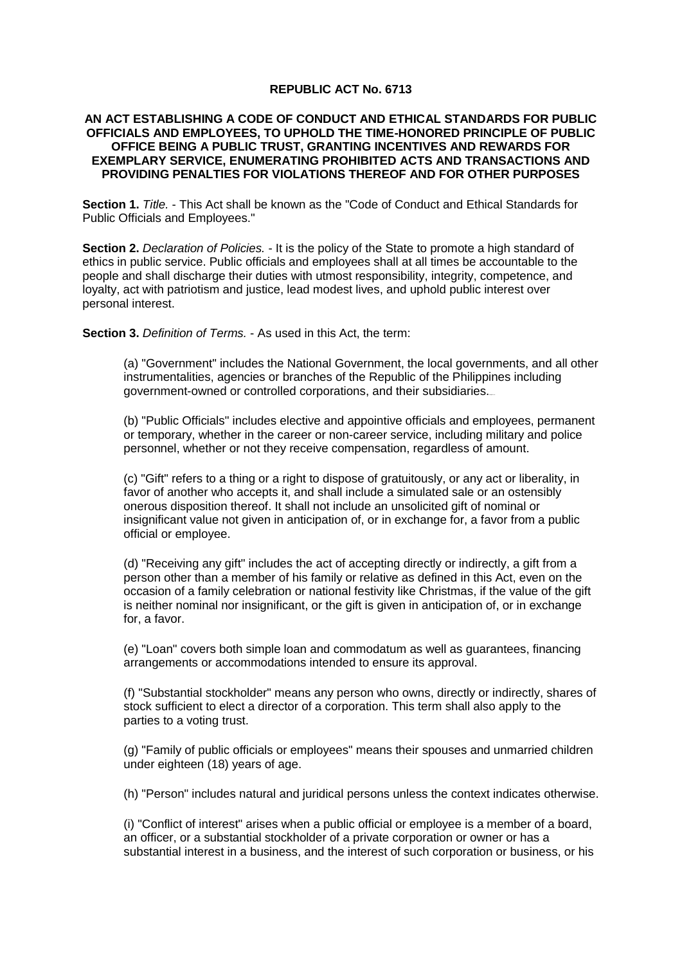## **REPUBLIC ACT No. 6713**

## **AN ACT ESTABLISHING A CODE OF CONDUCT AND ETHICAL STANDARDS FOR PUBLIC OFFICIALS AND EMPLOYEES, TO UPHOLD THE TIME-HONORED PRINCIPLE OF PUBLIC OFFICE BEING A PUBLIC TRUST, GRANTING INCENTIVES AND REWARDS FOR EXEMPLARY SERVICE, ENUMERATING PROHIBITED ACTS AND TRANSACTIONS AND PROVIDING PENALTIES FOR VIOLATIONS THEREOF AND FOR OTHER PURPOSES**

**Section 1.** *Title.* - This Act shall be known as the "Code of Conduct and Ethical Standards for Public Officials and Employees."

**Section 2.** *Declaration of Policies.* - It is the policy of the State to promote a high standard of ethics in public service. Public officials and employees shall at all times be accountable to the people and shall discharge their duties with utmost responsibility, integrity, competence, and loyalty, act with patriotism and justice, lead modest lives, and uphold public interest over personal interest.

**Section 3.** *Definition of Terms.* - As used in this Act, the term:

(a) "Government" includes the National Government, the local governments, and all other instrumentalities, agencies or branches of the Republic of the Philippines including government-owned or controlled corporations, and their subsidiaries.

(b) "Public Officials" includes elective and appointive officials and employees, permanent or temporary, whether in the career or non-career service, including military and police personnel, whether or not they receive compensation, regardless of amount.

(c) "Gift" refers to a thing or a right to dispose of gratuitously, or any act or liberality, in favor of another who accepts it, and shall include a simulated sale or an ostensibly onerous disposition thereof. It shall not include an unsolicited gift of nominal or insignificant value not given in anticipation of, or in exchange for, a favor from a public official or employee.

(d) "Receiving any gift" includes the act of accepting directly or indirectly, a gift from a person other than a member of his family or relative as defined in this Act, even on the occasion of a family celebration or national festivity like Christmas, if the value of the gift is neither nominal nor insignificant, or the gift is given in anticipation of, or in exchange for, a favor.

(e) "Loan" covers both simple loan and commodatum as well as guarantees, financing arrangements or accommodations intended to ensure its approval.

(f) "Substantial stockholder" means any person who owns, directly or indirectly, shares of stock sufficient to elect a director of a corporation. This term shall also apply to the parties to a voting trust.

(g) "Family of public officials or employees" means their spouses and unmarried children under eighteen (18) years of age.

(h) "Person" includes natural and juridical persons unless the context indicates otherwise.

(i) "Conflict of interest" arises when a public official or employee is a member of a board, an officer, or a substantial stockholder of a private corporation or owner or has a substantial interest in a business, and the interest of such corporation or business, or his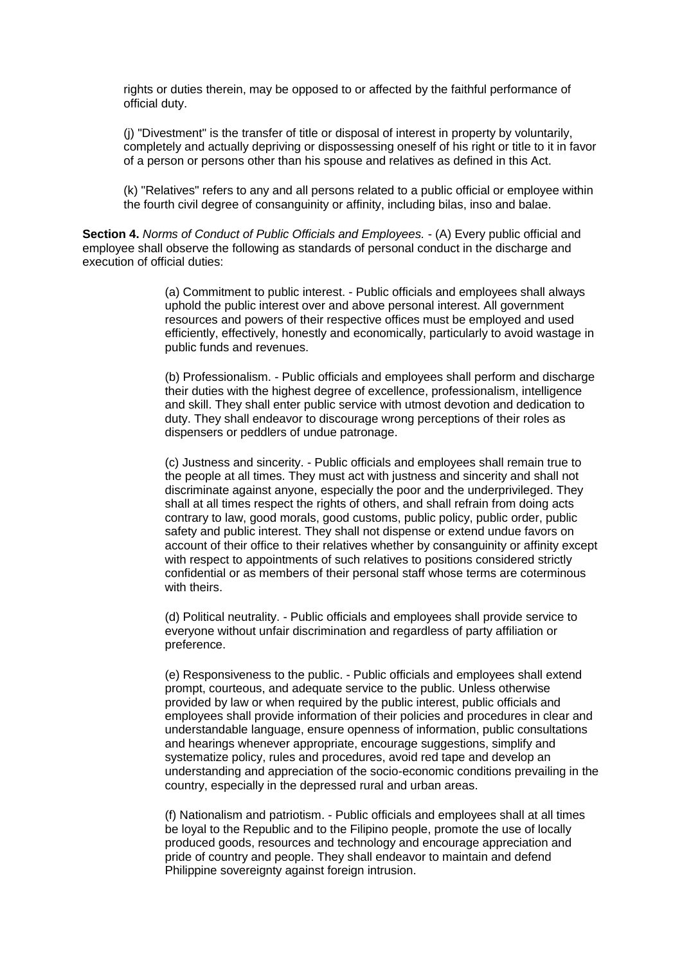rights or duties therein, may be opposed to or affected by the faithful performance of official duty.

(j) "Divestment" is the transfer of title or disposal of interest in property by voluntarily, completely and actually depriving or dispossessing oneself of his right or title to it in favor of a person or persons other than his spouse and relatives as defined in this Act.

(k) "Relatives" refers to any and all persons related to a public official or employee within the fourth civil degree of consanguinity or affinity, including bilas, inso and balae.

**Section 4.** *Norms of Conduct of Public Officials and Employees.* - (A) Every public official and employee shall observe the following as standards of personal conduct in the discharge and execution of official duties:

> (a) Commitment to public interest. - Public officials and employees shall always uphold the public interest over and above personal interest. All government resources and powers of their respective offices must be employed and used efficiently, effectively, honestly and economically, particularly to avoid wastage in public funds and revenues.

> (b) Professionalism. - Public officials and employees shall perform and discharge their duties with the highest degree of excellence, professionalism, intelligence and skill. They shall enter public service with utmost devotion and dedication to duty. They shall endeavor to discourage wrong perceptions of their roles as dispensers or peddlers of undue patronage.

> (c) Justness and sincerity. - Public officials and employees shall remain true to the people at all times. They must act with justness and sincerity and shall not discriminate against anyone, especially the poor and the underprivileged. They shall at all times respect the rights of others, and shall refrain from doing acts contrary to law, good morals, good customs, public policy, public order, public safety and public interest. They shall not dispense or extend undue favors on account of their office to their relatives whether by consanguinity or affinity except with respect to appointments of such relatives to positions considered strictly confidential or as members of their personal staff whose terms are coterminous with theirs.

(d) Political neutrality. - Public officials and employees shall provide service to everyone without unfair discrimination and regardless of party affiliation or preference.

(e) Responsiveness to the public. - Public officials and employees shall extend prompt, courteous, and adequate service to the public. Unless otherwise provided by law or when required by the public interest, public officials and employees shall provide information of their policies and procedures in clear and understandable language, ensure openness of information, public consultations and hearings whenever appropriate, encourage suggestions, simplify and systematize policy, rules and procedures, avoid red tape and develop an understanding and appreciation of the socio-economic conditions prevailing in the country, especially in the depressed rural and urban areas.

(f) Nationalism and patriotism. - Public officials and employees shall at all times be loyal to the Republic and to the Filipino people, promote the use of locally produced goods, resources and technology and encourage appreciation and pride of country and people. They shall endeavor to maintain and defend Philippine sovereignty against foreign intrusion.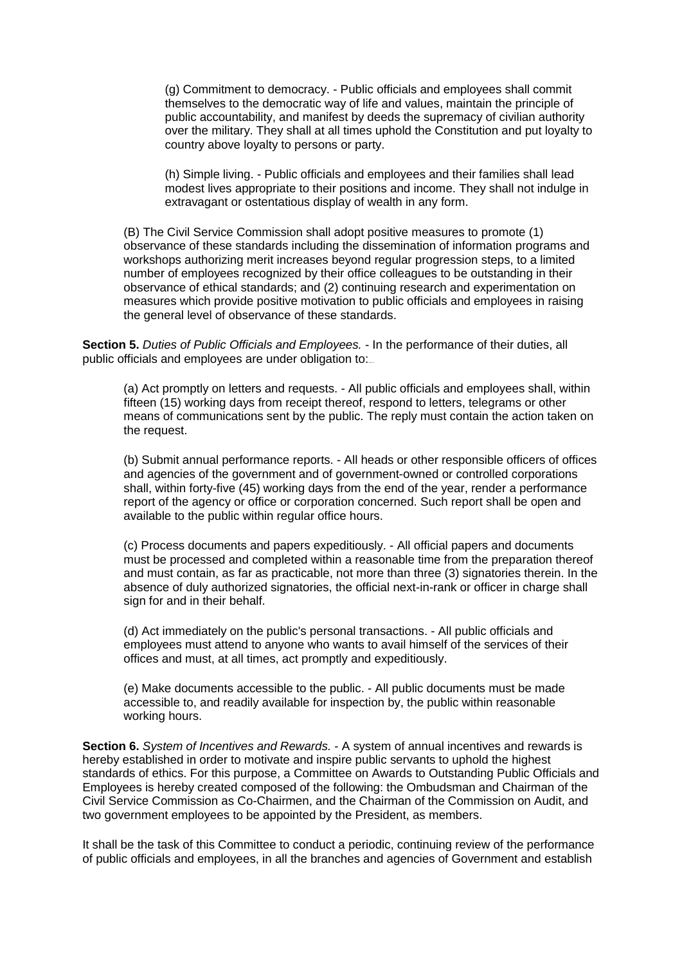(g) Commitment to democracy. - Public officials and employees shall commit themselves to the democratic way of life and values, maintain the principle of public accountability, and manifest by deeds the supremacy of civilian authority over the military. They shall at all times uphold the Constitution and put loyalty to country above loyalty to persons or party.

(h) Simple living. - Public officials and employees and their families shall lead modest lives appropriate to their positions and income. They shall not indulge in extravagant or ostentatious display of wealth in any form.

(B) The Civil Service Commission shall adopt positive measures to promote (1) observance of these standards including the dissemination of information programs and workshops authorizing merit increases beyond regular progression steps, to a limited number of employees recognized by their office colleagues to be outstanding in their observance of ethical standards; and (2) continuing research and experimentation on measures which provide positive motivation to public officials and employees in raising the general level of observance of these standards.

**Section 5.** *Duties of Public Officials and Employees.* - In the performance of their duties, all public officials and employees are under obligation to:

(a) Act promptly on letters and requests. - All public officials and employees shall, within fifteen (15) working days from receipt thereof, respond to letters, telegrams or other means of communications sent by the public. The reply must contain the action taken on the request.

(b) Submit annual performance reports. - All heads or other responsible officers of offices and agencies of the government and of government-owned or controlled corporations shall, within forty-five (45) working days from the end of the year, render a performance report of the agency or office or corporation concerned. Such report shall be open and available to the public within regular office hours.

(c) Process documents and papers expeditiously. - All official papers and documents must be processed and completed within a reasonable time from the preparation thereof and must contain, as far as practicable, not more than three (3) signatories therein. In the absence of duly authorized signatories, the official next-in-rank or officer in charge shall sign for and in their behalf.

(d) Act immediately on the public's personal transactions. - All public officials and employees must attend to anyone who wants to avail himself of the services of their offices and must, at all times, act promptly and expeditiously.

(e) Make documents accessible to the public. - All public documents must be made accessible to, and readily available for inspection by, the public within reasonable working hours.

**Section 6.** *System of Incentives and Rewards.* - A system of annual incentives and rewards is hereby established in order to motivate and inspire public servants to uphold the highest standards of ethics. For this purpose, a Committee on Awards to Outstanding Public Officials and Employees is hereby created composed of the following: the Ombudsman and Chairman of the Civil Service Commission as Co-Chairmen, and the Chairman of the Commission on Audit, and two government employees to be appointed by the President, as members.

It shall be the task of this Committee to conduct a periodic, continuing review of the performance of public officials and employees, in all the branches and agencies of Government and establish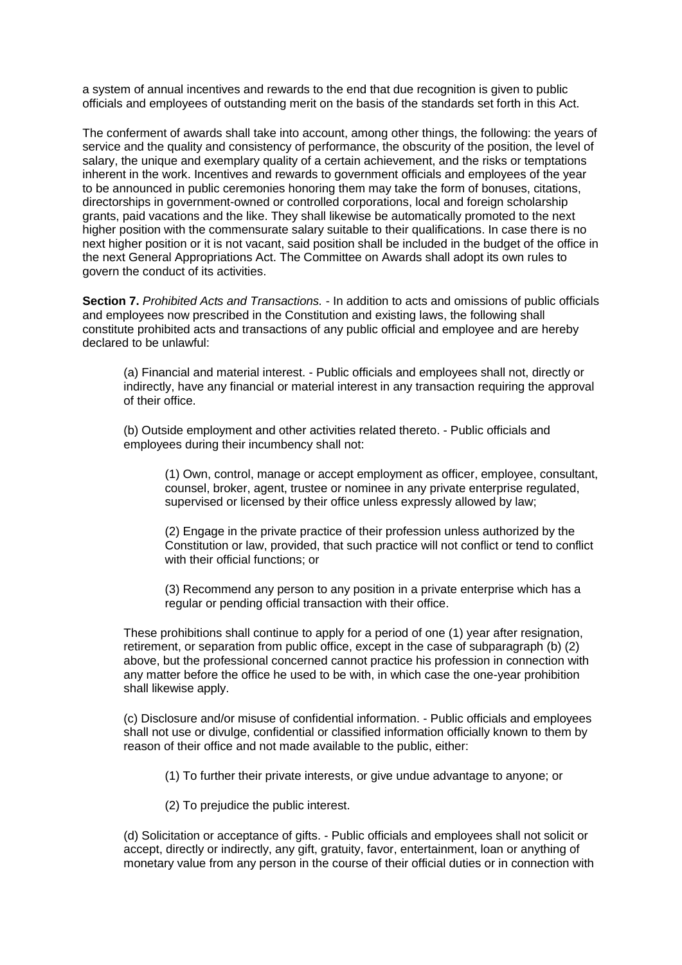a system of annual incentives and rewards to the end that due recognition is given to public officials and employees of outstanding merit on the basis of the standards set forth in this Act.

The conferment of awards shall take into account, among other things, the following: the years of service and the quality and consistency of performance, the obscurity of the position, the level of salary, the unique and exemplary quality of a certain achievement, and the risks or temptations inherent in the work. Incentives and rewards to government officials and employees of the year to be announced in public ceremonies honoring them may take the form of bonuses, citations, directorships in government-owned or controlled corporations, local and foreign scholarship grants, paid vacations and the like. They shall likewise be automatically promoted to the next higher position with the commensurate salary suitable to their qualifications. In case there is no next higher position or it is not vacant, said position shall be included in the budget of the office in the next General Appropriations Act. The Committee on Awards shall adopt its own rules to govern the conduct of its activities.

**Section 7.** *Prohibited Acts and Transactions.* - In addition to acts and omissions of public officials and employees now prescribed in the Constitution and existing laws, the following shall constitute prohibited acts and transactions of any public official and employee and are hereby declared to be unlawful:

(a) Financial and material interest. - Public officials and employees shall not, directly or indirectly, have any financial or material interest in any transaction requiring the approval of their office.

(b) Outside employment and other activities related thereto. - Public officials and employees during their incumbency shall not:

(1) Own, control, manage or accept employment as officer, employee, consultant, counsel, broker, agent, trustee or nominee in any private enterprise regulated, supervised or licensed by their office unless expressly allowed by law;

(2) Engage in the private practice of their profession unless authorized by the Constitution or law, provided, that such practice will not conflict or tend to conflict with their official functions; or

(3) Recommend any person to any position in a private enterprise which has a regular or pending official transaction with their office.

These prohibitions shall continue to apply for a period of one (1) year after resignation, retirement, or separation from public office, except in the case of subparagraph (b) (2) above, but the professional concerned cannot practice his profession in connection with any matter before the office he used to be with, in which case the one-year prohibition shall likewise apply.

(c) Disclosure and/or misuse of confidential information. - Public officials and employees shall not use or divulge, confidential or classified information officially known to them by reason of their office and not made available to the public, either:

(1) To further their private interests, or give undue advantage to anyone; or

(2) To prejudice the public interest.

(d) Solicitation or acceptance of gifts. - Public officials and employees shall not solicit or accept, directly or indirectly, any gift, gratuity, favor, entertainment, loan or anything of monetary value from any person in the course of their official duties or in connection with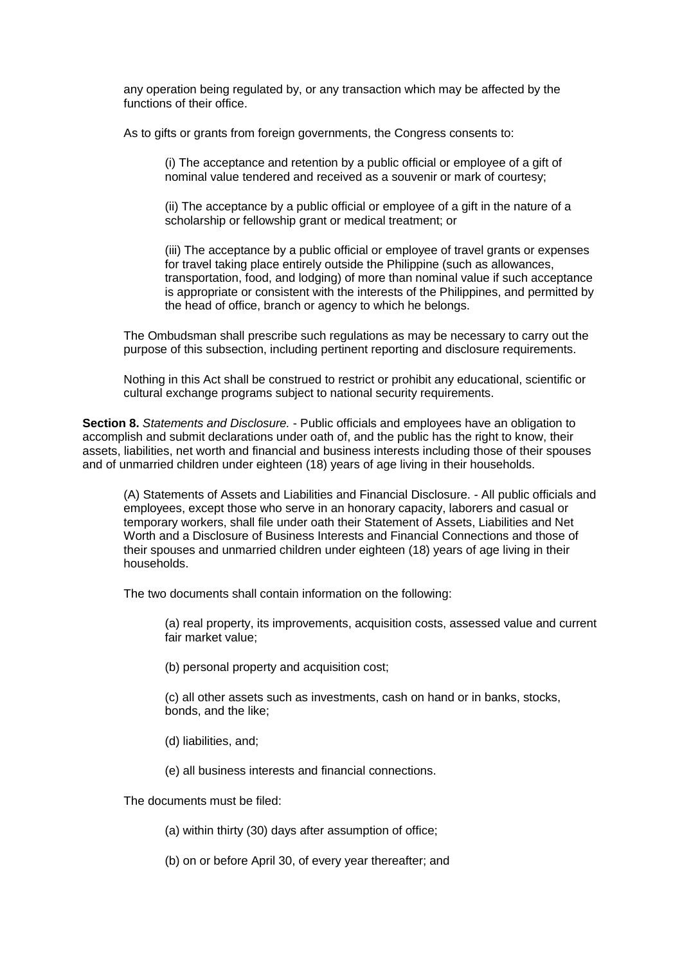any operation being regulated by, or any transaction which may be affected by the functions of their office.

As to gifts or grants from foreign governments, the Congress consents to:

(i) The acceptance and retention by a public official or employee of a gift of nominal value tendered and received as a souvenir or mark of courtesy;

(ii) The acceptance by a public official or employee of a gift in the nature of a scholarship or fellowship grant or medical treatment; or

(iii) The acceptance by a public official or employee of travel grants or expenses for travel taking place entirely outside the Philippine (such as allowances, transportation, food, and lodging) of more than nominal value if such acceptance is appropriate or consistent with the interests of the Philippines, and permitted by the head of office, branch or agency to which he belongs.

The Ombudsman shall prescribe such regulations as may be necessary to carry out the purpose of this subsection, including pertinent reporting and disclosure requirements.

Nothing in this Act shall be construed to restrict or prohibit any educational, scientific or cultural exchange programs subject to national security requirements.

**Section 8.** *Statements and Disclosure.* - Public officials and employees have an obligation to accomplish and submit declarations under oath of, and the public has the right to know, their assets, liabilities, net worth and financial and business interests including those of their spouses and of unmarried children under eighteen (18) years of age living in their households.

(A) Statements of Assets and Liabilities and Financial Disclosure. - All public officials and employees, except those who serve in an honorary capacity, laborers and casual or temporary workers, shall file under oath their Statement of Assets, Liabilities and Net Worth and a Disclosure of Business Interests and Financial Connections and those of their spouses and unmarried children under eighteen (18) years of age living in their households.

The two documents shall contain information on the following:

(a) real property, its improvements, acquisition costs, assessed value and current fair market value;

(b) personal property and acquisition cost;

(c) all other assets such as investments, cash on hand or in banks, stocks, bonds, and the like;

- (d) liabilities, and;
- (e) all business interests and financial connections.

The documents must be filed:

- (a) within thirty (30) days after assumption of office;
- (b) on or before April 30, of every year thereafter; and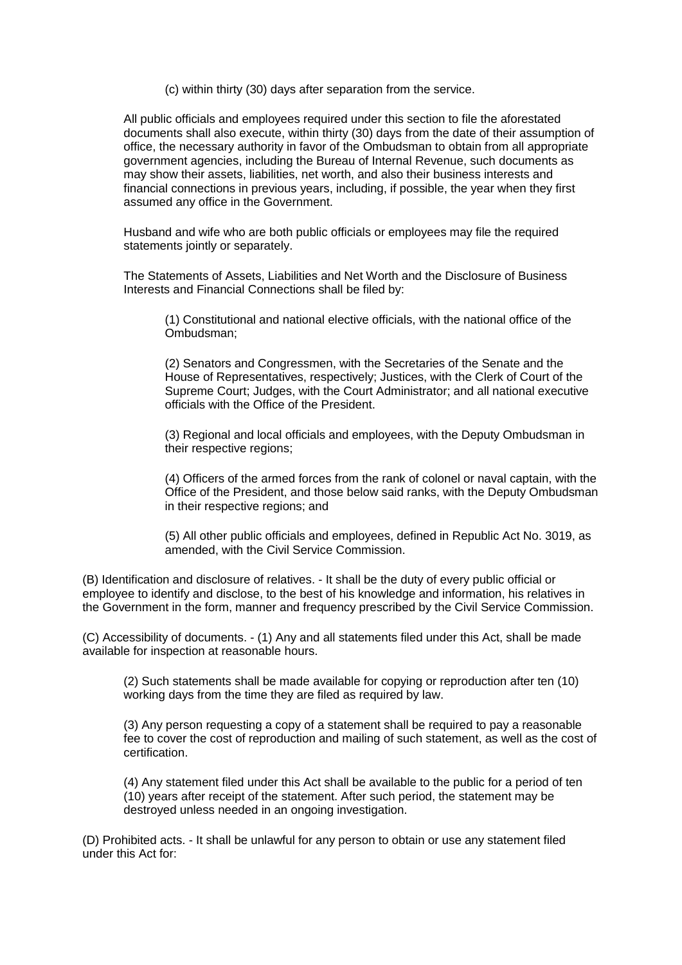(c) within thirty (30) days after separation from the service.

All public officials and employees required under this section to file the aforestated documents shall also execute, within thirty (30) days from the date of their assumption of office, the necessary authority in favor of the Ombudsman to obtain from all appropriate government agencies, including the Bureau of Internal Revenue, such documents as may show their assets, liabilities, net worth, and also their business interests and financial connections in previous years, including, if possible, the year when they first assumed any office in the Government.

Husband and wife who are both public officials or employees may file the required statements jointly or separately.

The Statements of Assets, Liabilities and Net Worth and the Disclosure of Business Interests and Financial Connections shall be filed by:

(1) Constitutional and national elective officials, with the national office of the Ombudsman;

(2) Senators and Congressmen, with the Secretaries of the Senate and the House of Representatives, respectively; Justices, with the Clerk of Court of the Supreme Court; Judges, with the Court Administrator; and all national executive officials with the Office of the President.

(3) Regional and local officials and employees, with the Deputy Ombudsman in their respective regions;

(4) Officers of the armed forces from the rank of colonel or naval captain, with the Office of the President, and those below said ranks, with the Deputy Ombudsman in their respective regions; and

(5) All other public officials and employees, defined in Republic Act No. 3019, as amended, with the Civil Service Commission.

(B) Identification and disclosure of relatives. - It shall be the duty of every public official or employee to identify and disclose, to the best of his knowledge and information, his relatives in the Government in the form, manner and frequency prescribed by the Civil Service Commission.

(C) Accessibility of documents. - (1) Any and all statements filed under this Act, shall be made available for inspection at reasonable hours.

(2) Such statements shall be made available for copying or reproduction after ten (10) working days from the time they are filed as required by law.

(3) Any person requesting a copy of a statement shall be required to pay a reasonable fee to cover the cost of reproduction and mailing of such statement, as well as the cost of certification.

(4) Any statement filed under this Act shall be available to the public for a period of ten (10) years after receipt of the statement. After such period, the statement may be destroyed unless needed in an ongoing investigation.

(D) Prohibited acts. - It shall be unlawful for any person to obtain or use any statement filed under this Act for: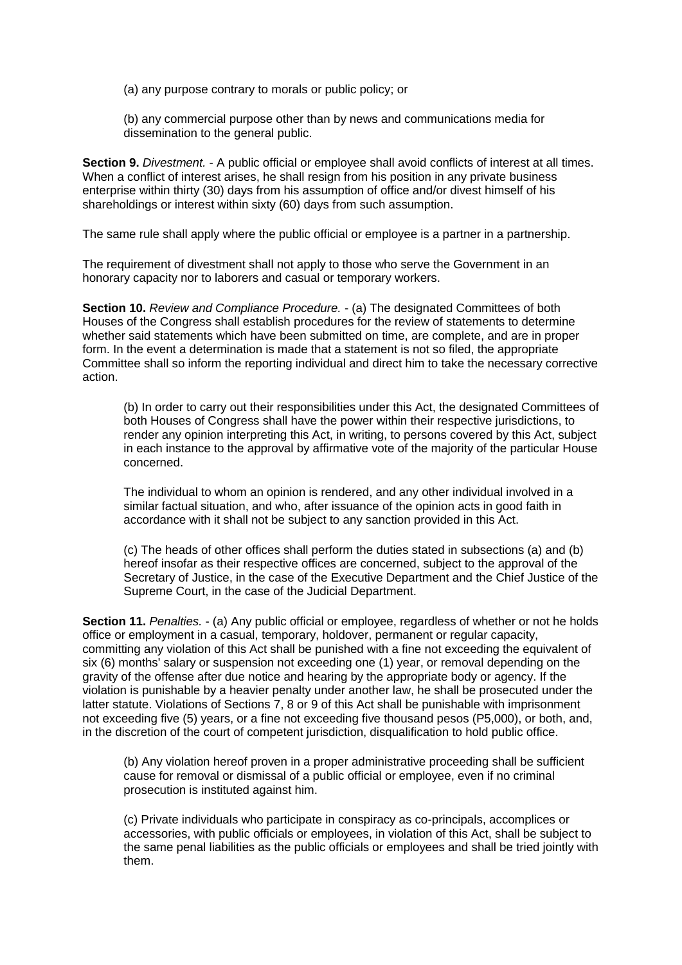(a) any purpose contrary to morals or public policy; or

(b) any commercial purpose other than by news and communications media for dissemination to the general public.

**Section 9.** *Divestment.* - A public official or employee shall avoid conflicts of interest at all times. When a conflict of interest arises, he shall resign from his position in any private business enterprise within thirty (30) days from his assumption of office and/or divest himself of his shareholdings or interest within sixty (60) days from such assumption.

The same rule shall apply where the public official or employee is a partner in a partnership.

The requirement of divestment shall not apply to those who serve the Government in an honorary capacity nor to laborers and casual or temporary workers.

**Section 10.** *Review and Compliance Procedure.* - (a) The designated Committees of both Houses of the Congress shall establish procedures for the review of statements to determine whether said statements which have been submitted on time, are complete, and are in proper form. In the event a determination is made that a statement is not so filed, the appropriate Committee shall so inform the reporting individual and direct him to take the necessary corrective action.

(b) In order to carry out their responsibilities under this Act, the designated Committees of both Houses of Congress shall have the power within their respective jurisdictions, to render any opinion interpreting this Act, in writing, to persons covered by this Act, subject in each instance to the approval by affirmative vote of the majority of the particular House concerned.

The individual to whom an opinion is rendered, and any other individual involved in a similar factual situation, and who, after issuance of the opinion acts in good faith in accordance with it shall not be subject to any sanction provided in this Act.

(c) The heads of other offices shall perform the duties stated in subsections (a) and (b) hereof insofar as their respective offices are concerned, subject to the approval of the Secretary of Justice, in the case of the Executive Department and the Chief Justice of the Supreme Court, in the case of the Judicial Department.

**Section 11.** *Penalties.* - (a) Any public official or employee, regardless of whether or not he holds office or employment in a casual, temporary, holdover, permanent or regular capacity, committing any violation of this Act shall be punished with a fine not exceeding the equivalent of six (6) months' salary or suspension not exceeding one (1) year, or removal depending on the gravity of the offense after due notice and hearing by the appropriate body or agency. If the violation is punishable by a heavier penalty under another law, he shall be prosecuted under the latter statute. Violations of Sections 7, 8 or 9 of this Act shall be punishable with imprisonment not exceeding five (5) years, or a fine not exceeding five thousand pesos (P5,000), or both, and, in the discretion of the court of competent jurisdiction, disqualification to hold public office.

(b) Any violation hereof proven in a proper administrative proceeding shall be sufficient cause for removal or dismissal of a public official or employee, even if no criminal prosecution is instituted against him.

(c) Private individuals who participate in conspiracy as co-principals, accomplices or accessories, with public officials or employees, in violation of this Act, shall be subject to the same penal liabilities as the public officials or employees and shall be tried jointly with them.